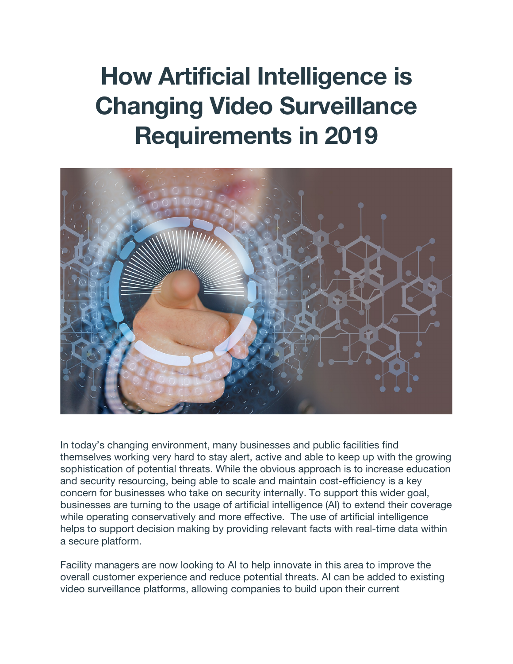# **How Artificial Intelligence is Changing Video Surveillance Requirements in 2019**



In today's changing environment, many businesses and public facilities find themselves working very hard to stay alert, active and able to keep up with the growing sophistication of potential threats. While the obvious approach is to increase education and security resourcing, being able to scale and maintain cost-efficiency is a key concern for businesses who take on security internally. To support this wider goal, businesses are turning to the usage of artificial intelligence (AI) to extend their coverage while operating conservatively and more effective. The use of artificial intelligence helps to support decision making by providing relevant facts with real-time data within a secure platform.

Facility managers are now looking to AI to help innovate in this area to improve the overall customer experience and reduce potential threats. AI can be added to existing video surveillance platforms, allowing companies to build upon their current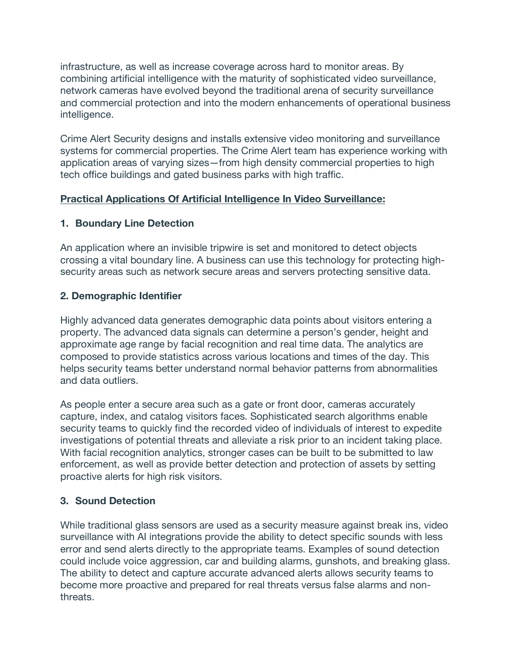infrastructure, as well as increase coverage across hard to monitor areas. By combining artificial intelligence with the maturity of sophisticated video surveillance, network cameras have evolved beyond the traditional arena of security surveillance and commercial protection and into the modern enhancements of operational business intelligence.

Crime Alert Security designs and installs extensive video monitoring and surveillance systems for commercial properties. The Crime Alert team has experience working with application areas of varying sizes—from high density commercial properties to high tech office buildings and gated business parks with high traffic.

### **Practical Applications Of Artificial Intelligence In Video Surveillance:**

### **1. Boundary Line Detection**

An application where an invisible tripwire is set and monitored to detect objects crossing a vital boundary line. A business can use this technology for protecting highsecurity areas such as network secure areas and servers protecting sensitive data.

### **2. Demographic Identifier**

Highly advanced data generates demographic data points about visitors entering a property. The advanced data signals can determine a person's gender, height and approximate age range by facial recognition and real time data. The analytics are composed to provide statistics across various locations and times of the day. This helps security teams better understand normal behavior patterns from abnormalities and data outliers.

As people enter a secure area such as a gate or front door, cameras accurately capture, index, and catalog visitors faces. Sophisticated search algorithms enable security teams to quickly find the recorded video of individuals of interest to expedite investigations of potential threats and alleviate a risk prior to an incident taking place. With facial recognition analytics, stronger cases can be built to be submitted to law enforcement, as well as provide better detection and protection of assets by setting proactive alerts for high risk visitors.

#### **3. Sound Detection**

While traditional glass sensors are used as a security measure against break ins, video surveillance with AI integrations provide the ability to detect specific sounds with less error and send alerts directly to the appropriate teams. Examples of sound detection could include voice aggression, car and building alarms, gunshots, and breaking glass. The ability to detect and capture accurate advanced alerts allows security teams to become more proactive and prepared for real threats versus false alarms and nonthreats.